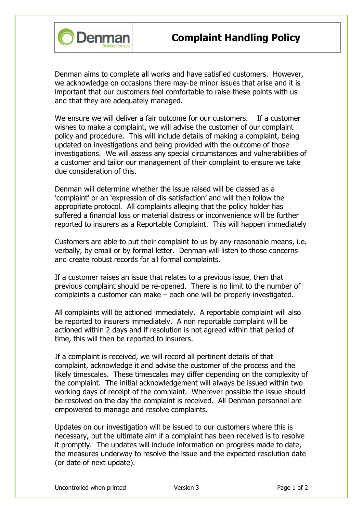

Denman aims to complete all works and have satisfied customers. However, we acknowledge on occasions there may-be minor issues that arise and it is important that our customers feel comfortable to raise these points with us and that they are adequately managed.

We ensure we will deliver a fair outcome for our customers. If a customer wishes to make a complaint, we will advise the customer of our complaint policy and procedure. This will include details of making a complaint, being updated on investigations and being provided with the outcome of those investigations. We will assess any special circumstances and vulnerabilities of a customer and tailor our management of their complaint to ensure we take due consideration of this.

Denman will determine whether the issue raised will be classed as a 'complaint' or an 'expression of dis-satisfaction' and will then follow the appropriate protocol. All complaints alleging that the policy holder has suffered a financial loss or material distress or inconvenience will be further reported to insurers as a Reportable Complaint. This will happen immediately

Customers are able to put their complaint to us by any reasonable means, i.e. verbally, by email or by formal letter. Denman will listen to those concerns and create robust records for all formal complaints.

If a customer raises an issue that relates to a previous issue, then that previous complaint should be re-opened. There is no limit to the number of complaints a customer can make – each one will be properly investigated.

All complaints will be actioned immediately. A reportable complaint will also be reported to insurers immediately. A non reportable complaint will be actioned within 2 days and if resolution is not agreed within that period of time, this will then be reported to insurers.

If a complaint is received, we will record all pertinent details of that complaint, acknowledge it and advise the customer of the process and the likely timescales. These timescales may differ depending on the complexity of the complaint. The initial acknowledgement will always be issued within two working days of receipt of the complaint. Wherever possible the issue should be resolved on the day the complaint is received. All Denman personnel are empowered to manage and resolve complaints.

Updates on our investigation will be issued to our customers where this is necessary, but the ultimate aim if a complaint has been received is to resolve it promptly. The updates will include information on progress made to date, the measures underway to resolve the issue and the expected resolution date (or date of next update).